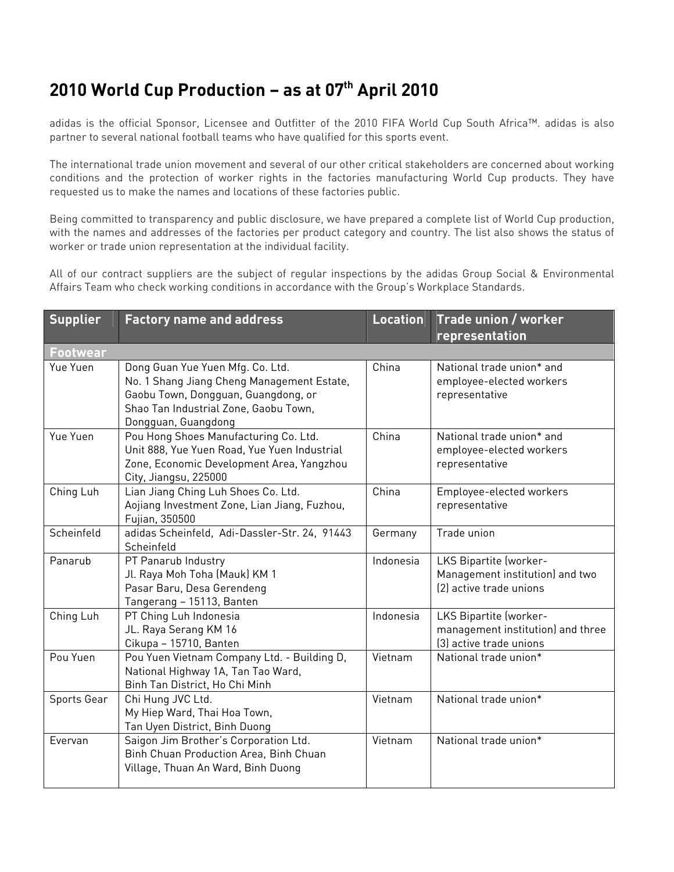## **2010 World Cup Production – as at 07th April 2010**

adidas is the official Sponsor, Licensee and Outfitter of the 2010 FIFA World Cup South Africa™. adidas is also partner to several national football teams who have qualified for this sports event.

The international trade union movement and several of our other critical stakeholders are concerned about working conditions and the protection of worker rights in the factories manufacturing World Cup products. They have requested us to make the names and locations of these factories public.

Being committed to transparency and public disclosure, we have prepared a complete list of World Cup production, with the names and addresses of the factories per product category and country. The list also shows the status of worker or trade union representation at the individual facility.

All of our contract suppliers are the subject of regular inspections by the adidas Group Social & Environmental Affairs Team who check working conditions in accordance with the Group's Workplace Standards.

| <b>Supplier</b> | <b>Factory name and address</b>                                                                                                                                                       | <b>Location</b> | Trade union / worker<br>representation                                                 |
|-----------------|---------------------------------------------------------------------------------------------------------------------------------------------------------------------------------------|-----------------|----------------------------------------------------------------------------------------|
| <b>Footwear</b> |                                                                                                                                                                                       |                 |                                                                                        |
| Yue Yuen        | Dong Guan Yue Yuen Mfg. Co. Ltd.<br>No. 1 Shang Jiang Cheng Management Estate,<br>Gaobu Town, Dongguan, Guangdong, or<br>Shao Tan Industrial Zone, Gaobu Town,<br>Dongguan, Guangdong | China           | National trade union* and<br>employee-elected workers<br>representative                |
| Yue Yuen        | Pou Hong Shoes Manufacturing Co. Ltd.<br>Unit 888, Yue Yuen Road, Yue Yuen Industrial<br>Zone, Economic Development Area, Yangzhou<br>City, Jiangsu, 225000                           | China           | National trade union* and<br>employee-elected workers<br>representative                |
| Ching Luh       | Lian Jiang Ching Luh Shoes Co. Ltd.<br>Aojiang Investment Zone, Lian Jiang, Fuzhou,<br>Fujian, 350500                                                                                 | China           | Employee-elected workers<br>representative                                             |
| Scheinfeld      | adidas Scheinfeld, Adi-Dassler-Str. 24, 91443<br>Scheinfeld                                                                                                                           | Germany         | Trade union                                                                            |
| Panarub         | PT Panarub Industry<br>Jl. Raya Moh Toha (Mauk) KM 1<br>Pasar Baru, Desa Gerendeng<br>Tangerang - 15113, Banten                                                                       | Indonesia       | LKS Bipartite (worker-<br>Management institution) and two<br>(2) active trade unions   |
| Ching Luh       | PT Ching Luh Indonesia<br>JL. Raya Serang KM 16<br>Cikupa - 15710, Banten                                                                                                             | Indonesia       | LKS Bipartite (worker-<br>management institution) and three<br>(3) active trade unions |
| Pou Yuen        | Pou Yuen Vietnam Company Ltd. - Building D,<br>National Highway 1A, Tan Tao Ward,<br>Binh Tan District, Ho Chi Minh                                                                   | Vietnam         | National trade union*                                                                  |
| Sports Gear     | Chi Hung JVC Ltd.<br>My Hiep Ward, Thai Hoa Town,<br>Tan Uyen District, Binh Duong                                                                                                    | Vietnam         | National trade union*                                                                  |
| Evervan         | Saigon Jim Brother's Corporation Ltd.<br>Binh Chuan Production Area, Binh Chuan<br>Village, Thuan An Ward, Binh Duong                                                                 | Vietnam         | National trade union*                                                                  |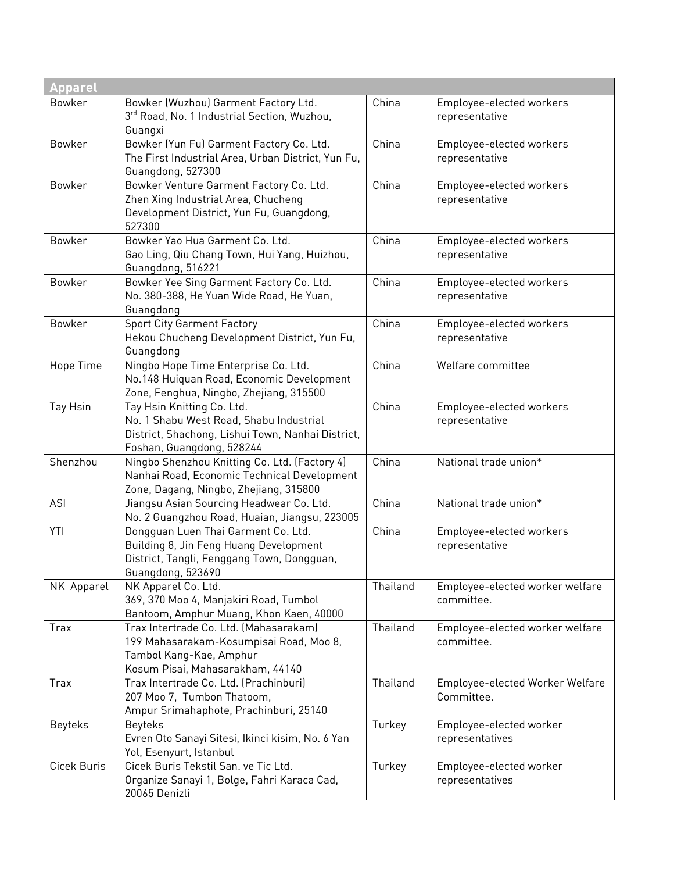| <b>Apparel</b> |                                                                                                                                                         |          |                                               |  |
|----------------|---------------------------------------------------------------------------------------------------------------------------------------------------------|----------|-----------------------------------------------|--|
| <b>Bowker</b>  | Bowker (Wuzhou) Garment Factory Ltd.<br>3rd Road, No. 1 Industrial Section, Wuzhou,<br>Guangxi                                                          | China    | Employee-elected workers<br>representative    |  |
| <b>Bowker</b>  | Bowker (Yun Fu) Garment Factory Co. Ltd.<br>The First Industrial Area, Urban District, Yun Fu,<br>Guangdong, 527300                                     | China    | Employee-elected workers<br>representative    |  |
| <b>Bowker</b>  | Bowker Venture Garment Factory Co. Ltd.<br>Zhen Xing Industrial Area, Chucheng<br>Development District, Yun Fu, Guangdong,<br>527300                    | China    | Employee-elected workers<br>representative    |  |
| Bowker         | Bowker Yao Hua Garment Co. Ltd.<br>Gao Ling, Qiu Chang Town, Hui Yang, Huizhou,<br>Guangdong, 516221                                                    | China    | Employee-elected workers<br>representative    |  |
| Bowker         | Bowker Yee Sing Garment Factory Co. Ltd.<br>No. 380-388, He Yuan Wide Road, He Yuan,<br>Guangdong                                                       | China    | Employee-elected workers<br>representative    |  |
| Bowker         | <b>Sport City Garment Factory</b><br>Hekou Chucheng Development District, Yun Fu,<br>Guangdong                                                          | China    | Employee-elected workers<br>representative    |  |
| Hope Time      | Ningbo Hope Time Enterprise Co. Ltd.<br>No.148 Huiquan Road, Economic Development<br>Zone, Fenghua, Ningbo, Zhejiang, 315500                            | China    | Welfare committee                             |  |
| Tay Hsin       | Tay Hsin Knitting Co. Ltd.<br>No. 1 Shabu West Road, Shabu Industrial<br>District, Shachong, Lishui Town, Nanhai District,<br>Foshan, Guangdong, 528244 | China    | Employee-elected workers<br>representative    |  |
| Shenzhou       | Ningbo Shenzhou Knitting Co. Ltd. (Factory 4)<br>Nanhai Road, Economic Technical Development<br>Zone, Dagang, Ningbo, Zhejiang, 315800                  | China    | National trade union*                         |  |
| <b>ASI</b>     | Jiangsu Asian Sourcing Headwear Co. Ltd.<br>No. 2 Guangzhou Road, Huaian, Jiangsu, 223005                                                               | China    | National trade union*                         |  |
| YTI            | Dongquan Luen Thai Garment Co. Ltd.<br>Building 8, Jin Feng Huang Development<br>District, Tangli, Fenggang Town, Dongguan,<br>Guangdong, 523690        | China    | Employee-elected workers<br>representative    |  |
| NK Apparel     | NK Apparel Co. Ltd.<br>369, 370 Moo 4, Manjakiri Road, Tumbol<br>Bantoom, Amphur Muang, Khon Kaen, 40000                                                | Thailand | Employee-elected worker welfare<br>committee. |  |
| Trax           | Trax Intertrade Co. Ltd. (Mahasarakam)<br>199 Mahasarakam-Kosumpisai Road, Moo 8,<br>Tambol Kang-Kae, Amphur<br>Kosum Pisai, Mahasarakham, 44140        | Thailand | Employee-elected worker welfare<br>committee. |  |
| Trax           | Trax Intertrade Co. Ltd. (Prachinburi)<br>207 Moo 7, Tumbon Thatoom,<br>Ampur Srimahaphote, Prachinburi, 25140                                          | Thailand | Employee-elected Worker Welfare<br>Committee. |  |
| <b>Beyteks</b> | <b>Beyteks</b><br>Evren Oto Sanayi Sitesi, Ikinci kisim, No. 6 Yan<br>Yol, Esenyurt, Istanbul                                                           | Turkey   | Employee-elected worker<br>representatives    |  |
| Cicek Buris    | Cicek Buris Tekstil San. ve Tic Ltd.<br>Organize Sanayi 1, Bolge, Fahri Karaca Cad,<br>20065 Denizli                                                    | Turkey   | Employee-elected worker<br>representatives    |  |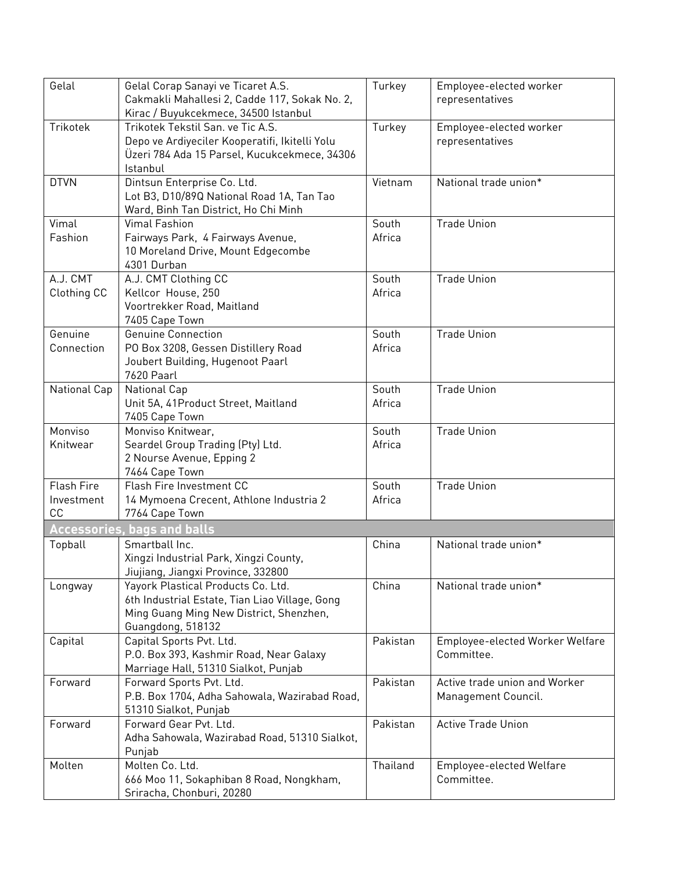| Gelal             | Gelal Corap Sanayi ve Ticaret A.S.             | Turkey   | Employee-elected worker         |
|-------------------|------------------------------------------------|----------|---------------------------------|
|                   | Cakmakli Mahallesi 2, Cadde 117, Sokak No. 2,  |          | representatives                 |
|                   | Kirac / Buyukcekmece, 34500 Istanbul           |          |                                 |
| Trikotek          | Trikotek Tekstil San. ve Tic A.S.              | Turkey   | Employee-elected worker         |
|                   | Depo ve Ardiyeciler Kooperatifi, Ikitelli Yolu |          | representatives                 |
|                   | Üzeri 784 Ada 15 Parsel, Kucukcekmece, 34306   |          |                                 |
|                   | Istanbul                                       |          |                                 |
| <b>DTVN</b>       | Dintsun Enterprise Co. Ltd.                    | Vietnam  | National trade union*           |
|                   | Lot B3, D10/89Q National Road 1A, Tan Tao      |          |                                 |
|                   | Ward, Binh Tan District, Ho Chi Minh           |          |                                 |
| Vimal             | <b>Vimal Fashion</b>                           | South    | <b>Trade Union</b>              |
| Fashion           | Fairways Park, 4 Fairways Avenue,              | Africa   |                                 |
|                   | 10 Moreland Drive, Mount Edgecombe             |          |                                 |
|                   | 4301 Durban                                    |          |                                 |
| A.J. CMT          | A.J. CMT Clothing CC                           | South    | <b>Trade Union</b>              |
| Clothing CC       | Kellcor House, 250                             | Africa   |                                 |
|                   | Voortrekker Road, Maitland                     |          |                                 |
|                   | 7405 Cape Town                                 |          |                                 |
| Genuine           | <b>Genuine Connection</b>                      | South    | <b>Trade Union</b>              |
| Connection        | PO Box 3208, Gessen Distillery Road            | Africa   |                                 |
|                   | Joubert Building, Hugenoot Paarl               |          |                                 |
|                   | 7620 Paarl                                     |          |                                 |
| National Cap      | National Cap                                   | South    | <b>Trade Union</b>              |
|                   | Unit 5A, 41 Product Street, Maitland           | Africa   |                                 |
|                   | 7405 Cape Town                                 |          |                                 |
| Monviso           | Monviso Knitwear,                              | South    | <b>Trade Union</b>              |
| Knitwear          | Seardel Group Trading (Pty) Ltd.               | Africa   |                                 |
|                   | 2 Nourse Avenue, Epping 2                      |          |                                 |
|                   | 7464 Cape Town                                 |          |                                 |
| <b>Flash Fire</b> | Flash Fire Investment CC                       | South    | <b>Trade Union</b>              |
| Investment        | 14 Mymoena Crecent, Athlone Industria 2        | Africa   |                                 |
| CC                | 7764 Cape Town                                 |          |                                 |
|                   | <b>Accessories, bags and balls</b>             |          |                                 |
| Topball           | Smartball Inc.                                 | China    | National trade union*           |
|                   | Xingzi Industrial Park, Xingzi County,         |          |                                 |
|                   | Jiujiang, Jiangxi Province, 332800             |          |                                 |
| Longway           | Yayork Plastical Products Co. Ltd.             | China    | National trade union*           |
|                   | 6th Industrial Estate, Tian Liao Village, Gong |          |                                 |
|                   | Ming Guang Ming New District, Shenzhen,        |          |                                 |
|                   | Guangdong, 518132                              |          |                                 |
| Capital           | Capital Sports Pvt. Ltd.                       | Pakistan | Employee-elected Worker Welfare |
|                   | P.O. Box 393, Kashmir Road, Near Galaxy        |          | Committee.                      |
|                   | Marriage Hall, 51310 Sialkot, Punjab           |          |                                 |
| Forward           | Forward Sports Pvt. Ltd.                       | Pakistan | Active trade union and Worker   |
|                   | P.B. Box 1704, Adha Sahowala, Wazirabad Road,  |          | Management Council.             |
|                   | 51310 Sialkot, Punjab                          |          |                                 |
| Forward           | Forward Gear Pvt. Ltd.                         | Pakistan | <b>Active Trade Union</b>       |
|                   | Adha Sahowala, Wazirabad Road, 51310 Sialkot,  |          |                                 |
|                   | Punjab                                         |          |                                 |
| Molten            | Molten Co. Ltd.                                | Thailand | <b>Employee-elected Welfare</b> |
|                   | 666 Moo 11, Sokaphiban 8 Road, Nongkham,       |          | Committee.                      |
|                   | Sriracha, Chonburi, 20280                      |          |                                 |